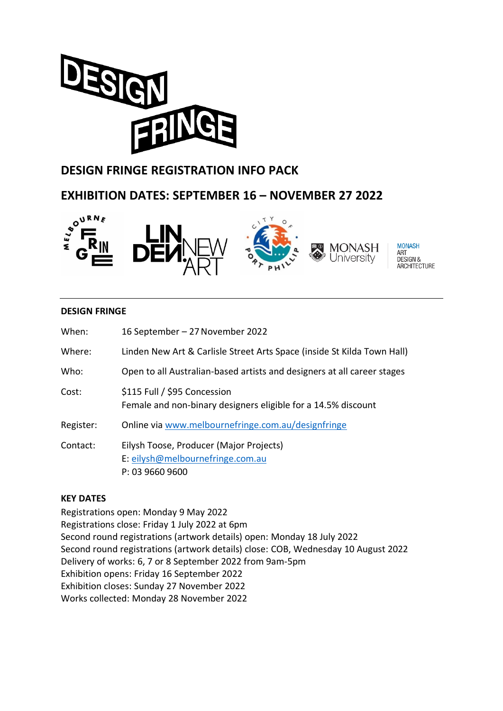

# **DESIGN FRINGE REGISTRATION INFO PACK**



#### **DESIGN FRINGE**

| When:     | 16 September – 27 November 2022                                                                |
|-----------|------------------------------------------------------------------------------------------------|
| Where:    | Linden New Art & Carlisle Street Arts Space (inside St Kilda Town Hall)                        |
| Who:      | Open to all Australian-based artists and designers at all career stages                        |
| Cost:     | \$115 Full / \$95 Concession<br>Female and non-binary designers eligible for a 14.5% discount  |
| Register: | Online via www.melbournefringe.com.au/designfringe                                             |
| Contact:  | Eilysh Toose, Producer (Major Projects)<br>E: eilysh@melbournefringe.com.au<br>P: 03 9660 9600 |

#### **KEY DATES**

Registrations open: Monday 9 May 2022 Registrations close: Friday 1 July 2022 at 6pm Second round registrations (artwork details) open: Monday 18 July 2022 Second round registrations (artwork details) close: COB, Wednesday 10 August 2022 Delivery of works: 6, 7 or 8 September 2022 from 9am-5pm Exhibition opens: Friday 16 September 2022 Exhibition closes: Sunday 27 November 2022 Works collected: Monday 28 November 2022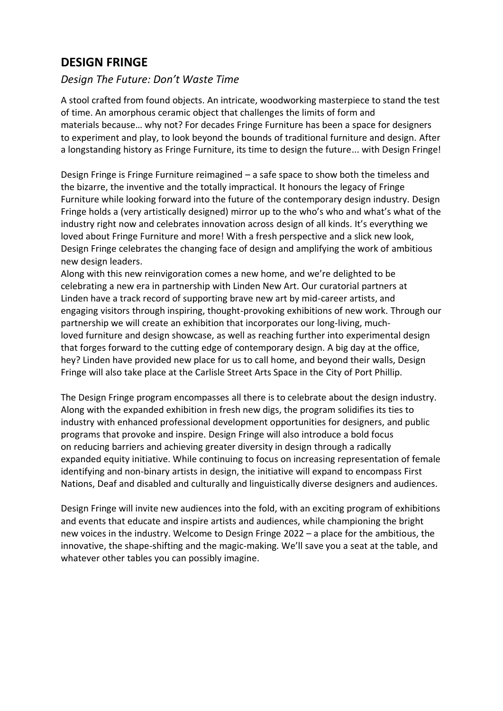# **DESIGN FRINGE**

## *Design The Future: Don't Waste Time*

A stool crafted from found objects. An intricate, woodworking masterpiece to stand the test of time. An amorphous ceramic object that challenges the limits of form and materials because… why not? For decades Fringe Furniture has been a space for designers to experiment and play, to look beyond the bounds of traditional furniture and design. After a longstanding history as Fringe Furniture, its time to design the future... with Design Fringe!

Design Fringe is Fringe Furniture reimagined – a safe space to show both the timeless and the bizarre, the inventive and the totally impractical. It honours the legacy of Fringe Furniture while looking forward into the future of the contemporary design industry. Design Fringe holds a (very artistically designed) mirror up to the who's who and what's what of the industry right now and celebrates innovation across design of all kinds. It's everything we loved about Fringe Furniture and more! With a fresh perspective and a slick new look, Design Fringe celebrates the changing face of design and amplifying the work of ambitious new design leaders.

Along with this new reinvigoration comes a new home, and we're delighted to be celebrating a new era in partnership with Linden New Art. Our curatorial partners at Linden have a track record of supporting brave new art by mid-career artists, and engaging visitors through inspiring, thought-provoking exhibitions of new work. Through our partnership we will create an exhibition that incorporates our long-living, muchloved furniture and design showcase, as well as reaching further into experimental design that forges forward to the cutting edge of contemporary design. A big day at the office, hey? Linden have provided new place for us to call home, and beyond their walls, Design Fringe will also take place at the Carlisle Street Arts Space in the City of Port Phillip.

The Design Fringe program encompasses all there is to celebrate about the design industry. Along with the expanded exhibition in fresh new digs, the program solidifies its ties to industry with enhanced professional development opportunities for designers, and public programs that provoke and inspire. Design Fringe will also introduce a bold focus on reducing barriers and achieving greater diversity in design through a radically expanded equity initiative. While continuing to focus on increasing representation of female identifying and non-binary artists in design, the initiative will expand to encompass First Nations, Deaf and disabled and culturally and linguistically diverse designers and audiences.

Design Fringe will invite new audiences into the fold, with an exciting program of exhibitions and events that educate and inspire artists and audiences, while championing the bright new voices in the industry. Welcome to Design Fringe 2022 – a place for the ambitious, the innovative, the shape-shifting and the magic-making. We'll save you a seat at the table, and whatever other tables you can possibly imagine.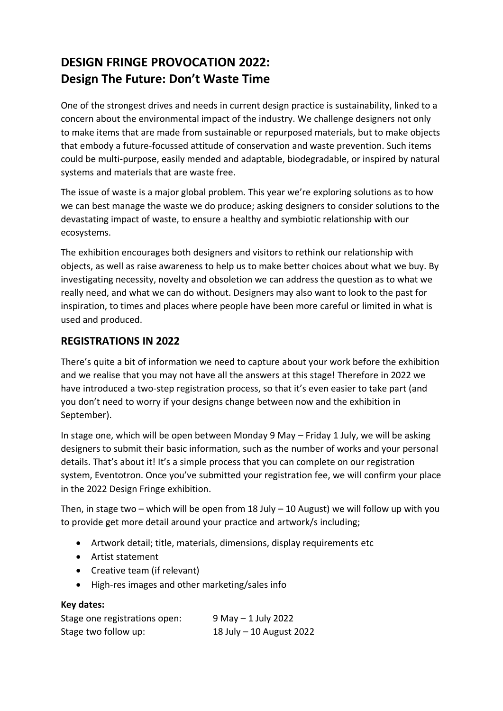# **DESIGN FRINGE PROVOCATION 2022: Design The Future: Don't Waste Time**

One of the strongest drives and needs in current design practice is sustainability, linked to a concern about the environmental impact of the industry. We challenge designers not only to make items that are made from sustainable or repurposed materials, but to make objects that embody a future-focussed attitude of conservation and waste prevention. Such items could be multi-purpose, easily mended and adaptable, biodegradable, or inspired by natural systems and materials that are waste free.

The issue of waste is a major global problem. This year we're exploring solutions as to how we can best manage the waste we do produce; asking designers to consider solutions to the devastating impact of waste, to ensure a healthy and symbiotic relationship with our ecosystems.

The exhibition encourages both designers and visitors to rethink our relationship with objects, as well as raise awareness to help us to make better choices about what we buy. By investigating necessity, novelty and obsoletion we can address the question as to what we really need, and what we can do without. Designers may also want to look to the past for inspiration, to times and places where people have been more careful or limited in what is used and produced.

## **REGISTRATIONS IN 2022**

There's quite a bit of information we need to capture about your work before the exhibition and we realise that you may not have all the answers at this stage! Therefore in 2022 we have introduced a two-step registration process, so that it's even easier to take part (and you don't need to worry if your designs change between now and the exhibition in September).

In stage one, which will be open between Monday 9 May – Friday 1 July, we will be asking designers to submit their basic information, such as the number of works and your personal details. That's about it! It's a simple process that you can complete on our registration system, Eventotron. Once you've submitted your registration fee, we will confirm your place in the 2022 Design Fringe exhibition.

Then, in stage two – which will be open from 18 July – 10 August) we will follow up with you to provide get more detail around your practice and artwork/s including;

- Artwork detail; title, materials, dimensions, display requirements etc
- Artist statement
- Creative team (if relevant)
- High-res images and other marketing/sales info

#### **Key dates:**

| Stage one registrations open: | 9 May - 1 July 2022      |
|-------------------------------|--------------------------|
| Stage two follow up:          | 18 July - 10 August 2022 |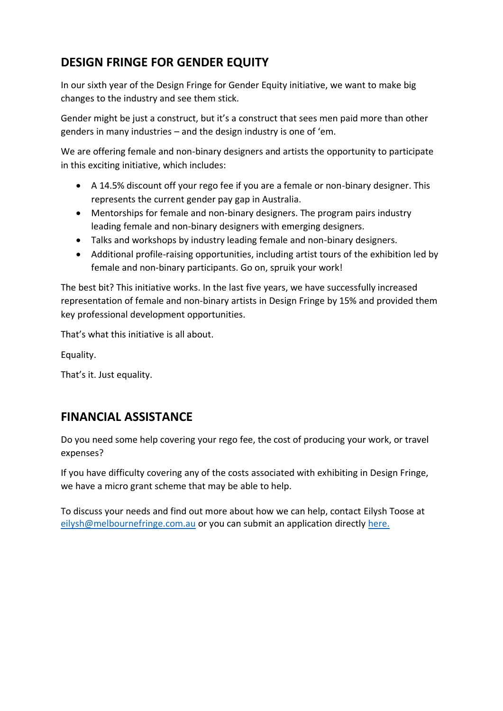# **DESIGN FRINGE FOR GENDER EQUITY**

In our sixth year of the Design Fringe for Gender Equity initiative, we want to make big changes to the industry and see them stick.

Gender might be just a construct, but it's a construct that sees men paid more than other genders in many industries – and the design industry is one of 'em.

We are offering female and non-binary designers and artists the opportunity to participate in this exciting initiative, which includes:

- A 14.5% discount off your rego fee if you are a female or non-binary designer. This represents the current gender pay gap in Australia.
- Mentorships for female and non-binary designers. The program pairs industry leading female and non-binary designers with emerging designers.
- Talks and workshops by industry leading female and non-binary designers.
- Additional profile-raising opportunities, including artist tours of the exhibition led by female and non-binary participants. Go on, spruik your work!

The best bit? This initiative works. In the last five years, we have successfully increased representation of female and non-binary artists in Design Fringe by 15% and provided them key professional development opportunities.

That's what this initiative is all about.

Equality.

That's it. Just equality.

# **FINANCIAL ASSISTANCE**

Do you need some help covering your rego fee, the cost of producing your work, or travel expenses?

If you have difficulty covering any of the costs associated with exhibiting in Design Fringe, we have a micro grant scheme that may be able to help.

To discuss your needs and find out more about how we can help, contact Eilysh Toose at [eilysh@melbournefringe.com.au](mailto:eilysh@melbournefringe.com.au) or you can submit an application directly [here.](http://form.jotform.com/Melbourne_Fringe/DFMicrogrants2022)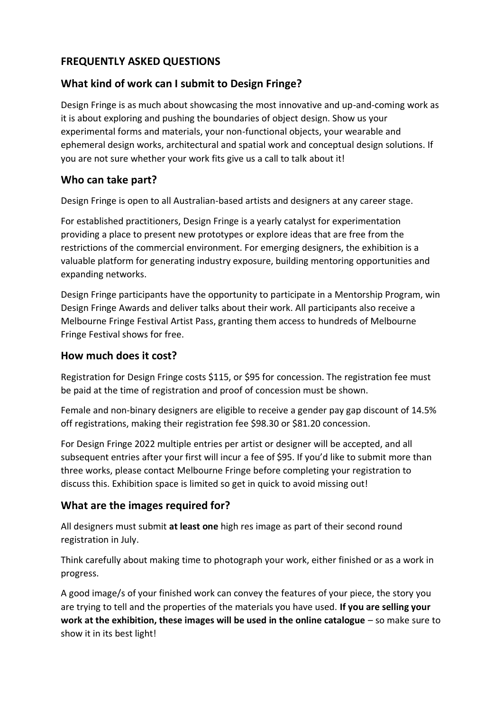# **FREQUENTLY ASKED QUESTIONS**

## **What kind of work can I submit to Design Fringe?**

Design Fringe is as much about showcasing the most innovative and up-and-coming work as it is about exploring and pushing the boundaries of object design. Show us your experimental forms and materials, your non-functional objects, your wearable and ephemeral design works, architectural and spatial work and conceptual design solutions. If you are not sure whether your work fits give us a call to talk about it!

## **Who can take part?**

Design Fringe is open to all Australian-based artists and designers at any career stage.

For established practitioners, Design Fringe is a yearly catalyst for experimentation providing a place to present new prototypes or explore ideas that are free from the restrictions of the commercial environment. For emerging designers, the exhibition is a valuable platform for generating industry exposure, building mentoring opportunities and expanding networks.

Design Fringe participants have the opportunity to participate in a Mentorship Program, win Design Fringe Awards and deliver talks about their work. All participants also receive a Melbourne Fringe Festival Artist Pass, granting them access to hundreds of Melbourne Fringe Festival shows for free.

## **How much does it cost?**

Registration for Design Fringe costs \$115, or \$95 for concession. The registration fee must be paid at the time of registration and proof of concession must be shown.

Female and non-binary designers are eligible to receive a gender pay gap discount of 14.5% off registrations, making their registration fee \$98.30 or \$81.20 concession.

For Design Fringe 2022 multiple entries per artist or designer will be accepted, and all subsequent entries after your first will incur a fee of \$95. If you'd like to submit more than three works, please contact Melbourne Fringe before completing your registration to discuss this. Exhibition space is limited so get in quick to avoid missing out!

## **What are the images required for?**

All designers must submit **at least one** high res image as part of their second round registration in July.

Think carefully about making time to photograph your work, either finished or as a work in progress.

A good image/s of your finished work can convey the features of your piece, the story you are trying to tell and the properties of the materials you have used. **If you are selling your work at the exhibition, these images will be used in the online catalogue** – so make sure to show it in its best light!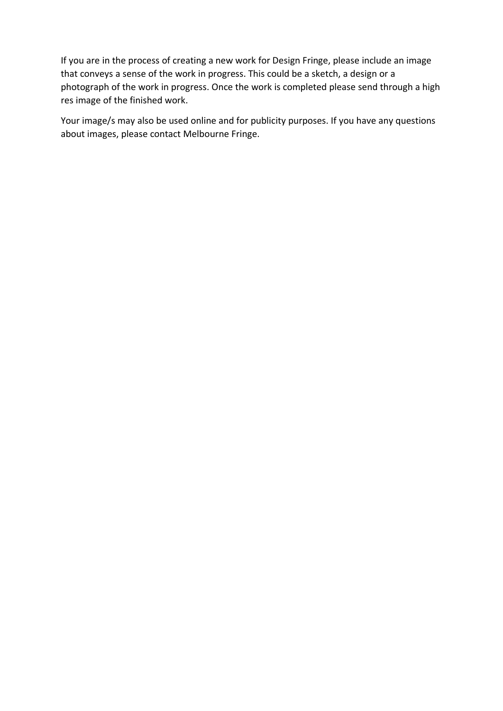If you are in the process of creating a new work for Design Fringe, please include an image that conveys a sense of the work in progress. This could be a sketch, a design or a photograph of the work in progress. Once the work is completed please send through a high res image of the finished work.

Your image/s may also be used online and for publicity purposes. If you have any questions about images, please contact Melbourne Fringe.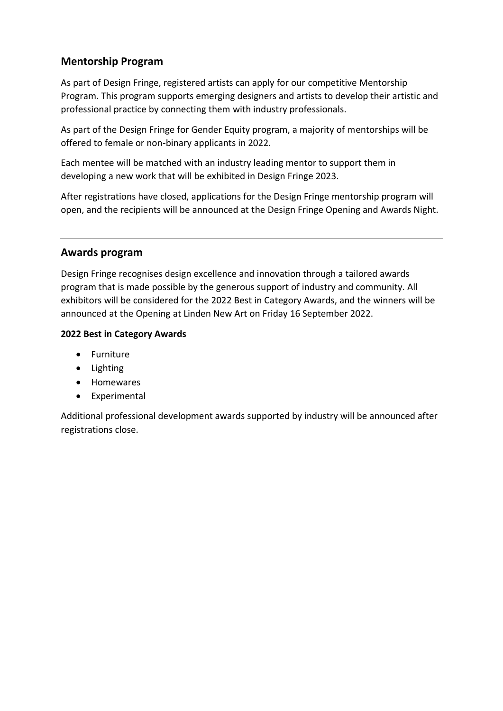# **Mentorship Program**

As part of Design Fringe, registered artists can apply for our competitive Mentorship Program. This program supports emerging designers and artists to develop their artistic and professional practice by connecting them with industry professionals.

As part of the Design Fringe for Gender Equity program, a majority of mentorships will be offered to female or non-binary applicants in 2022.

Each mentee will be matched with an industry leading mentor to support them in developing a new work that will be exhibited in Design Fringe 2023.

After registrations have closed, applications for the Design Fringe mentorship program will open, and the recipients will be announced at the Design Fringe Opening and Awards Night.

## **Awards program**

Design Fringe recognises design excellence and innovation through a tailored awards program that is made possible by the generous support of industry and community. All exhibitors will be considered for the 2022 Best in Category Awards, and the winners will be announced at the Opening at Linden New Art on Friday 16 September 2022.

### **2022 Best in Category Awards**

- Furniture
- Lighting
- Homewares
- Experimental

Additional professional development awards supported by industry will be announced after registrations close.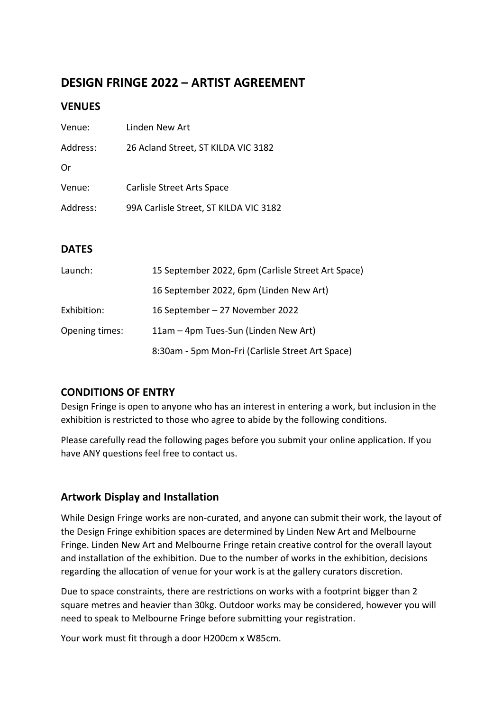# **DESIGN FRINGE 2022 – ARTIST AGREEMENT**

### **VENUES**

| Venue:   | Linden New Art                         |
|----------|----------------------------------------|
| Address: | 26 Acland Street, ST KILDA VIC 3182    |
| Or       |                                        |
| Venue:   | Carlisle Street Arts Space             |
| Address: | 99A Carlisle Street, ST KILDA VIC 3182 |
|          |                                        |

## **DATES**

| Launch:        | 15 September 2022, 6pm (Carlisle Street Art Space) |
|----------------|----------------------------------------------------|
|                | 16 September 2022, 6pm (Linden New Art)            |
| Exhibition:    | 16 September - 27 November 2022                    |
| Opening times: | 11am – 4pm Tues-Sun (Linden New Art)               |
|                | 8:30am - 5pm Mon-Fri (Carlisle Street Art Space)   |

# **CONDITIONS OF ENTRY**

Design Fringe is open to anyone who has an interest in entering a work, but inclusion in the exhibition is restricted to those who agree to abide by the following conditions.

Please carefully read the following pages before you submit your online application. If you have ANY questions feel free to contact us.

# **Artwork Display and Installation**

While Design Fringe works are non-curated, and anyone can submit their work, the layout of the Design Fringe exhibition spaces are determined by Linden New Art and Melbourne Fringe. Linden New Art and Melbourne Fringe retain creative control for the overall layout and installation of the exhibition. Due to the number of works in the exhibition, decisions regarding the allocation of venue for your work is at the gallery curators discretion.

Due to space constraints, there are restrictions on works with a footprint bigger than 2 square metres and heavier than 30kg. Outdoor works may be considered, however you will need to speak to Melbourne Fringe before submitting your registration.

Your work must fit through a door H200cm x W85cm.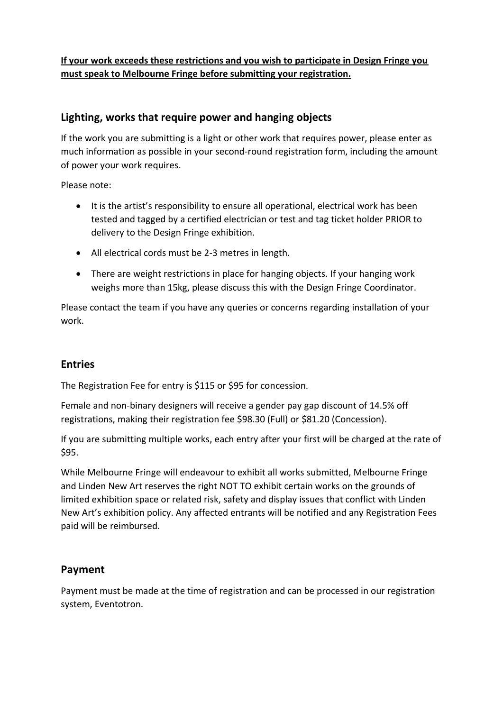## **If your work exceeds these restrictions and you wish to participate in Design Fringe you must speak to Melbourne Fringe before submitting your registration.**

# **Lighting, works that require power and hanging objects**

If the work you are submitting is a light or other work that requires power, please enter as much information as possible in your second-round registration form, including the amount of power your work requires.

Please note:

- It is the artist's responsibility to ensure all operational, electrical work has been tested and tagged by a certified electrician or test and tag ticket holder PRIOR to delivery to the Design Fringe exhibition.
- All electrical cords must be 2-3 metres in length.
- There are weight restrictions in place for hanging objects. If your hanging work weighs more than 15kg, please discuss this with the Design Fringe Coordinator.

Please contact the team if you have any queries or concerns regarding installation of your work.

## **Entries**

The Registration Fee for entry is \$115 or \$95 for concession.

Female and non-binary designers will receive a gender pay gap discount of 14.5% off registrations, making their registration fee \$98.30 (Full) or \$81.20 (Concession).

If you are submitting multiple works, each entry after your first will be charged at the rate of \$95.

While Melbourne Fringe will endeavour to exhibit all works submitted, Melbourne Fringe and Linden New Art reserves the right NOT TO exhibit certain works on the grounds of limited exhibition space or related risk, safety and display issues that conflict with Linden New Art's exhibition policy. Any affected entrants will be notified and any Registration Fees paid will be reimbursed.

## **Payment**

Payment must be made at the time of registration and can be processed in our registration system, Eventotron.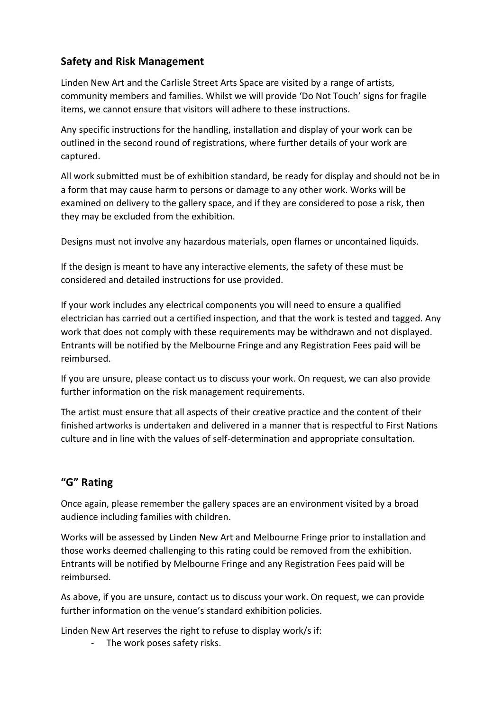# **Safety and Risk Management**

Linden New Art and the Carlisle Street Arts Space are visited by a range of artists, community members and families. Whilst we will provide 'Do Not Touch' signs for fragile items, we cannot ensure that visitors will adhere to these instructions.

Any specific instructions for the handling, installation and display of your work can be outlined in the second round of registrations, where further details of your work are captured.

All work submitted must be of exhibition standard, be ready for display and should not be in a form that may cause harm to persons or damage to any other work. Works will be examined on delivery to the gallery space, and if they are considered to pose a risk, then they may be excluded from the exhibition.

Designs must not involve any hazardous materials, open flames or uncontained liquids.

If the design is meant to have any interactive elements, the safety of these must be considered and detailed instructions for use provided.

If your work includes any electrical components you will need to ensure a qualified electrician has carried out a certified inspection, and that the work is tested and tagged. Any work that does not comply with these requirements may be withdrawn and not displayed. Entrants will be notified by the Melbourne Fringe and any Registration Fees paid will be reimbursed.

If you are unsure, please contact us to discuss your work. On request, we can also provide further information on the risk management requirements.

The artist must ensure that all aspects of their creative practice and the content of their finished artworks is undertaken and delivered in a manner that is respectful to First Nations culture and in line with the values of self-determination and appropriate consultation.

# **"G" Rating**

Once again, please remember the gallery spaces are an environment visited by a broad audience including families with children.

Works will be assessed by Linden New Art and Melbourne Fringe prior to installation and those works deemed challenging to this rating could be removed from the exhibition. Entrants will be notified by Melbourne Fringe and any Registration Fees paid will be reimbursed.

As above, if you are unsure, contact us to discuss your work. On request, we can provide further information on the venue's standard exhibition policies.

Linden New Art reserves the right to refuse to display work/s if:

- The work poses safety risks.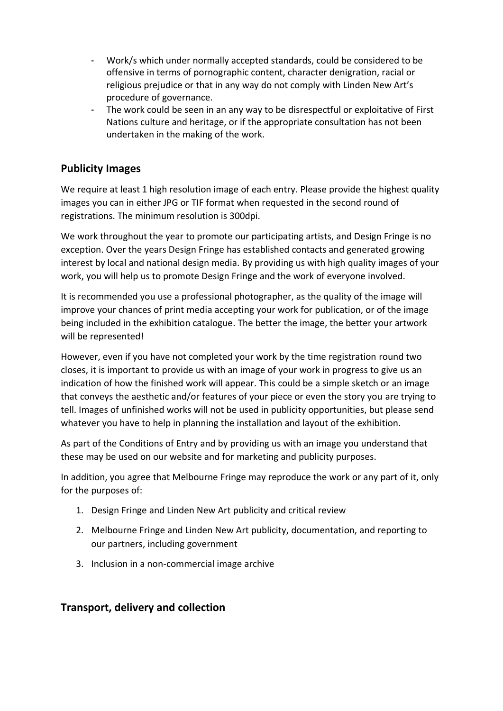- Work/s which under normally accepted standards, could be considered to be offensive in terms of pornographic content, character denigration, racial or religious prejudice or that in any way do not comply with Linden New Art's procedure of governance.
- The work could be seen in an any way to be disrespectful or exploitative of First Nations culture and heritage, or if the appropriate consultation has not been undertaken in the making of the work.

## **Publicity Images**

We require at least 1 high resolution image of each entry. Please provide the highest quality images you can in either JPG or TIF format when requested in the second round of registrations. The minimum resolution is 300dpi.

We work throughout the year to promote our participating artists, and Design Fringe is no exception. Over the years Design Fringe has established contacts and generated growing interest by local and national design media. By providing us with high quality images of your work, you will help us to promote Design Fringe and the work of everyone involved.

It is recommended you use a professional photographer, as the quality of the image will improve your chances of print media accepting your work for publication, or of the image being included in the exhibition catalogue. The better the image, the better your artwork will be represented!

However, even if you have not completed your work by the time registration round two closes, it is important to provide us with an image of your work in progress to give us an indication of how the finished work will appear. This could be a simple sketch or an image that conveys the aesthetic and/or features of your piece or even the story you are trying to tell. Images of unfinished works will not be used in publicity opportunities, but please send whatever you have to help in planning the installation and layout of the exhibition.

As part of the Conditions of Entry and by providing us with an image you understand that these may be used on our website and for marketing and publicity purposes.

In addition, you agree that Melbourne Fringe may reproduce the work or any part of it, only for the purposes of:

- 1. Design Fringe and Linden New Art publicity and critical review
- 2. Melbourne Fringe and Linden New Art publicity, documentation, and reporting to our partners, including government
- 3. Inclusion in a non-commercial image archive

## **Transport, delivery and collection**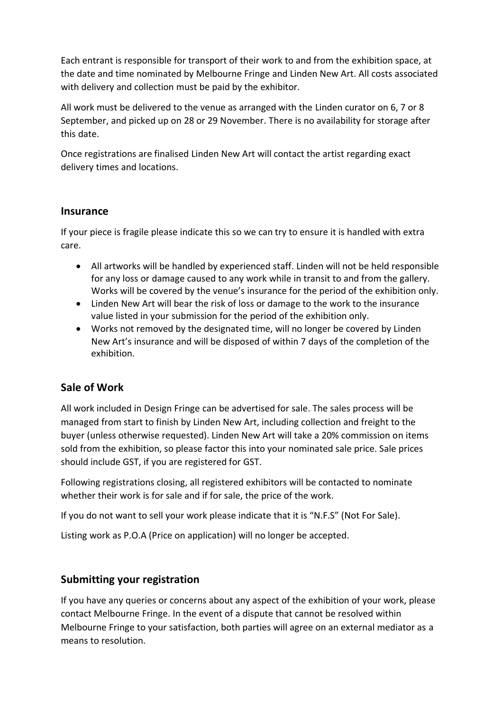Each entrant is responsible for transport of their work to and from the exhibition space, at the date and time nominated by Melbourne Fringe and Linden New Art. All costs associated with delivery and collection must be paid by the exhibitor.

All work must be delivered to the venue as arranged with the Linden curator on 6, 7 or 8 September, and picked up on 28 or 29 November. There is no availability for storage after this date.

Once registrations are finalised Linden New Art will contact the artist regarding exact delivery times and locations.

### **Insurance**

If your piece is fragile please indicate this so we can try to ensure it is handled with extra care.

- All artworks will be handled by experienced staff. Linden will not be held responsible for any loss or damage caused to any work while in transit to and from the gallery. Works will be covered by the venue's insurance for the period of the exhibition only.
- Linden New Art will bear the risk of loss or damage to the work to the insurance value listed in your submission for the period of the exhibition only.
- Works not removed by the designated time, will no longer be covered by Linden New Art's insurance and will be disposed of within 7 days of the completion of the exhibition.

# **Sale of Work**

All work included in Design Fringe can be advertised for sale. The sales process will be managed from start to finish by Linden New Art, including collection and freight to the buyer (unless otherwise requested). Linden New Art will take a 20% commission on items sold from the exhibition, so please factor this into your nominated sale price. Sale prices should include GST, if you are registered for GST.

Following registrations closing, all registered exhibitors will be contacted to nominate whether their work is for sale and if for sale, the price of the work.

If you do not want to sell your work please indicate that it is "N.F.S" (Not For Sale).

Listing work as P.O.A (Price on application) will no longer be accepted.

# **Submitting your registration**

If you have any queries or concerns about any aspect of the exhibition of your work, please contact Melbourne Fringe. In the event of a dispute that cannot be resolved within Melbourne Fringe to your satisfaction, both parties will agree on an external mediator as a means to resolution.